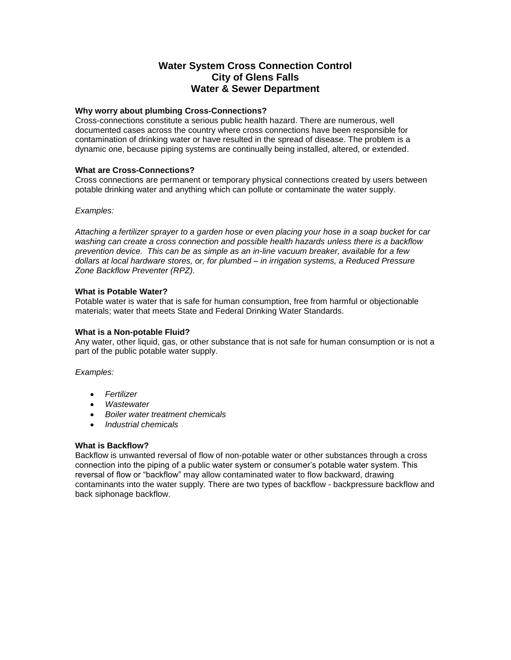# **Water System Cross Connection Control City of Glens Falls Water & Sewer Department**

#### **Why worry about plumbing Cross-Connections?**

Cross-connections constitute a serious public health hazard. There are numerous, well documented cases across the country where cross connections have been responsible for contamination of drinking water or have resulted in the spread of disease. The problem is a dynamic one, because piping systems are continually being installed, altered, or extended.

#### **What are Cross-Connections?**

Cross connections are permanent or temporary physical connections created by users between potable drinking water and anything which can pollute or contaminate the water supply.

#### *Examples:*

*Attaching a fertilizer sprayer to a garden hose or even placing your hose in a soap bucket for car washing can create a cross connection and possible health hazards unless there is a backflow prevention device. This can be as simple as an in-line vacuum breaker, available for a few dollars at local hardware stores, or, for plumbed – in irrigation systems, a Reduced Pressure Zone Backflow Preventer (RPZ).*

#### **What is Potable Water?**

Potable water is water that is safe for human consumption, free from harmful or objectionable materials; water that meets State and Federal Drinking Water Standards.

#### **What is a Non-potable Fluid?**

Any water, other liquid, gas, or other substance that is not safe for human consumption or is not a part of the public potable water supply.

# *Examples:*

- *Fertilizer*
- *Wastewater*
- *Boiler water treatment chemicals*
- *Industrial chemicals*

#### **What is Backflow?**

Backflow is unwanted reversal of flow of non-potable water or other substances through a cross connection into the piping of a public water system or consumer's potable water system. This reversal of flow or "backflow" may allow contaminated water to flow backward, drawing contaminants into the water supply. There are two types of backflow - backpressure backflow and back siphonage backflow.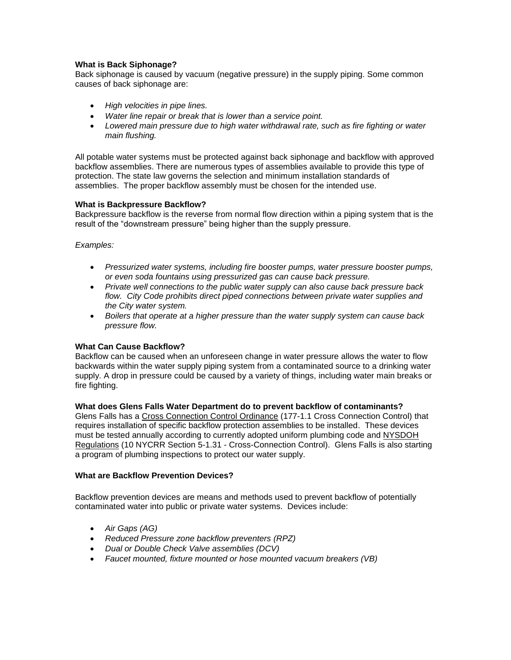# **What is Back Siphonage?**

Back siphonage is caused by vacuum (negative pressure) in the supply piping. Some common causes of back siphonage are:

- *High velocities in pipe lines.*
- *Water line repair or break that is lower than a service point.*
- *Lowered main pressure due to high water withdrawal rate, such as fire fighting or water main flushing.*

All potable water systems must be protected against back siphonage and backflow with approved backflow assemblies. There are numerous types of assemblies available to provide this type of protection. The state law governs the selection and minimum installation standards of assemblies. The proper backflow assembly must be chosen for the intended use.

# **What is Backpressure Backflow?**

Backpressure backflow is the reverse from normal flow direction within a piping system that is the result of the "downstream pressure" being higher than the supply pressure.

# *Examples:*

- *Pressurized water systems, including fire booster pumps, water pressure booster pumps, or even soda fountains using pressurized gas can cause back pressure.*
- *Private well connections to the public water supply can also cause back pressure back flow. City Code prohibits direct piped connections between private water supplies and the City water system.*
- *Boilers that operate at a higher pressure than the water supply system can cause back pressure flow.*

# **What Can Cause Backflow?**

Backflow can be caused when an unforeseen change in water pressure allows the water to flow backwards within the water supply piping system from a contaminated source to a drinking water supply. A drop in pressure could be caused by a variety of things, including water main breaks or fire fighting.

# **What does Glens Falls Water Department do to prevent backflow of contaminants?**

Glens Falls has a [Cross Connection Control Ordinance](http://bendoregon.gov/modules/showdocument.aspx?documentid=5591) (177-1.1 Cross Connection Control) that requires installation of specific backflow protection assemblies to be installed. These devices must be tested annually according to currently adopted uniform plumbing code and [NYSDOH](http://public.health.oregon.gov/Pages/Home.aspx)  [Regulations](http://public.health.oregon.gov/Pages/Home.aspx) (10 NYCRR Section 5-1.31 - Cross-Connection Control). Glens Falls is also starting a program of plumbing inspections to protect our water supply.

# **What are Backflow Prevention Devices?**

Backflow prevention devices are means and methods used to prevent backflow of potentially contaminated water into public or private water systems. Devices include:

- *Air Gaps (AG)*
- *Reduced Pressure zone backflow preventers (RPZ)*
- *Dual or Double Check Valve assemblies (DCV)*
- *Faucet mounted, fixture mounted or hose mounted vacuum breakers (VB)*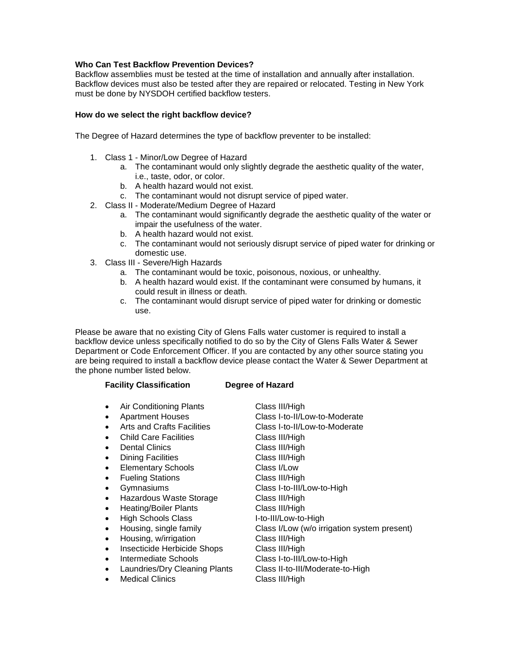# **Who Can Test Backflow Prevention Devices?**

Backflow assemblies must be tested at the time of installation and annually after installation. Backflow devices must also be tested after they are repaired or relocated. Testing in New York must be done by NYSDOH certified backflow testers.

#### **How do we select the right backflow device?**

The Degree of Hazard determines the type of backflow preventer to be installed:

- 1. Class 1 Minor/Low Degree of Hazard
	- a. The contaminant would only slightly degrade the aesthetic quality of the water, i.e., taste, odor, or color.
	- b. A health hazard would not exist.
	- c. The contaminant would not disrupt service of piped water.
- 2. Class II Moderate/Medium Degree of Hazard
	- a. The contaminant would significantly degrade the aesthetic quality of the water or impair the usefulness of the water.
	- b. A health hazard would not exist.
	- c. The contaminant would not seriously disrupt service of piped water for drinking or domestic use.
- 3. Class III Severe/High Hazards
	- a. The contaminant would be toxic, poisonous, noxious, or unhealthy.
	- b. A health hazard would exist. If the contaminant were consumed by humans, it could result in illness or death.
	- c. The contaminant would disrupt service of piped water for drinking or domestic use.

Please be aware that no existing City of Glens Falls water customer is required to install a backflow device unless specifically notified to do so by the City of Glens Falls Water & Sewer Department or Code Enforcement Officer. If you are contacted by any other source stating you are being required to install a backflow device please contact the Water & Sewer Department at the phone number listed below.

# **Facility Classification Degree of Hazard**

- Air Conditioning Plants Class III/High
- 
- 
- Child Care Facilities Class III/High
- 
- Dining Facilities Class III/High
- Elementary Schools Class I/Low
- Fueling Stations Class III/High
- 
- Hazardous Waste Storage Class III/High
- Heating/Boiler Plants Class III/High
- High Schools Class I-to-III/Low-to-High
- 
- Housing, w/irrigation Class III/High
- Insecticide Herbicide Shops Class III/High
- Intermediate Schools Class I-to-III/Low-to-High
- 
- Medical Clinics Class III/High

 Apartment Houses Class I-to-II/Low-to-Moderate • Arts and Crafts Facilities Class I-to-II/Low-to-Moderate Dental Clinics Class III/High Gymnasiums Class I-to-III/Low-to-High Housing, single family Class I/Low (w/o irrigation system present) Laundries/Dry Cleaning Plants Class II-to-III/Moderate-to-High